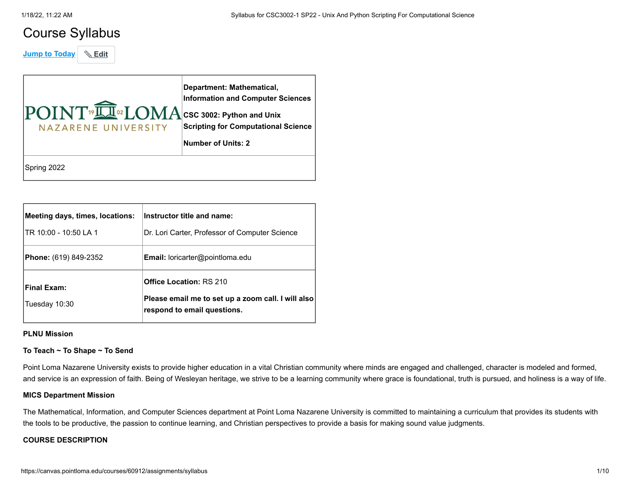## Course Syllabus

**Jump to Today** & Edit

| POINT <sup>19</sup> LOMA CSC 3002: Python and Unix<br>NAZARENE UNIVERSITY | Department: Mathematical,<br><b>Information and Computer Sciences</b><br><b>Scripting for Computational Science</b><br><b>Number of Units: 2</b> |
|---------------------------------------------------------------------------|--------------------------------------------------------------------------------------------------------------------------------------------------|
| Spring 2022                                                               |                                                                                                                                                  |

| Meeting days, times, locations:<br>ITR 10:00 - 10:50 LA 1 | Instructor title and name:<br>Dr. Lori Carter, Professor of Computer Science                                        |
|-----------------------------------------------------------|---------------------------------------------------------------------------------------------------------------------|
| <b>Phone:</b> (619) 849-2352                              | <b>Email:</b> loricarter@pointloma.edu                                                                              |
| <b>Final Exam:</b><br>Tuesday 10:30                       | <b>Office Location: RS 210</b><br>Please email me to set up a zoom call. I will also<br>respond to email questions. |

#### **PLNU Mission**

#### **To Teach ~ To Shape ~ To Send**

Point Loma Nazarene University exists to provide higher education in a vital Christian community where minds are engaged and challenged, character is modeled and formed, and service is an expression of faith. Being of Wesleyan heritage, we strive to be a learning community where grace is foundational, truth is pursued, and holiness is a way of life.

#### **MICS Department Mission**

The Mathematical, Information, and Computer Sciences department at Point Loma Nazarene University is committed to maintaining a curriculum that provides its students with the tools to be productive, the passion to continue learning, and Christian perspectives to provide a basis for making sound value judgments.

#### **COURSE DESCRIPTION**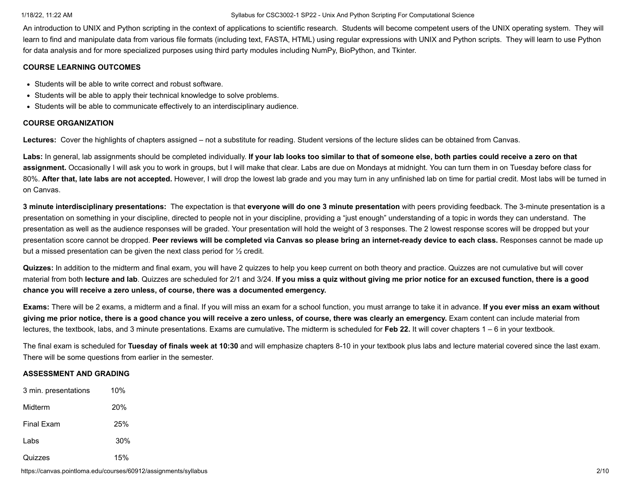An introduction to UNIX and Python scripting in the context of applications to scientific research. Students will become competent users of the UNIX operating system. They will learn to find and manipulate data from various file formats (including text, FASTA, HTML) using regular expressions with UNIX and Python scripts. They will learn to use Python for data analysis and for more specialized purposes using third party modules including NumPy, BioPython, and Tkinter.

#### **COURSE LEARNING OUTCOMES**

- Students will be able to write correct and robust software.
- Students will be able to apply their technical knowledge to solve problems.
- Students will be able to communicate effectively to an interdisciplinary audience.

#### **COURSE ORGANIZATION**

**Lectures:** Cover the highlights of chapters assigned – not a substitute for reading. Student versions of the lecture slides can be obtained from Canvas.

Labs: In general, lab assignments should be completed individually. If your lab looks too similar to that of someone else, both parties could receive a zero on that **assignment.** Occasionally I will ask you to work in groups, but I will make that clear. Labs are due on Mondays at midnight. You can turn them in on Tuesday before class for 80%. **After that, late labs are not accepted.** However, I will drop the lowest lab grade and you may turn in any unfinished lab on time for partial credit. Most labs will be turned in on Canvas.

**3 minute interdisciplinary presentations:** The expectation is that **everyone will do one 3 minute presentation** with peers providing feedback. The 3-minute presentation is a presentation on something in your discipline, directed to people not in your discipline, providing a "just enough" understanding of a topic in words they can understand. The presentation as well as the audience responses will be graded. Your presentation will hold the weight of 3 responses. The 2 lowest response scores will be dropped but your presentation score cannot be dropped. **Peer reviews will be completed via Canvas so please bring an internet-ready device to each class.** Responses cannot be made up but a missed presentation can be given the next class period for ½ credit.

**Quizzes:** In addition to the midterm and final exam, you will have 2 quizzes to help you keep current on both theory and practice. Quizzes are not cumulative but will cover material from both **lecture and lab**. Quizzes are scheduled for 2/1 and 3/24. **If you miss a quiz without giving me prior notice for an excused function, there is a good chance you will receive a zero unless, of course, there was a documented emergency.**

**Exams:** There will be 2 exams, a midterm and a final. If you will miss an exam for a school function, you must arrange to take it in advance. **If you ever miss an exam without giving me prior notice, there is a good chance you will receive a zero unless, of course, there was clearly an emergency.** Exam content can include material from lectures, the textbook, labs, and 3 minute presentations. Exams are cumulative**.** The midterm is scheduled for **Feb 22.** It will cover chapters 1 – 6 in your textbook.

The final exam is scheduled for **Tuesday of finals week at 10:30** and will emphasize chapters 8-10 in your textbook plus labs and lecture material covered since the last exam. There will be some questions from earlier in the semester.

#### **ASSESSMENT AND GRADING**

| 3 min. presentations | 10%             |
|----------------------|-----------------|
| Midterm              | 20 <sup>%</sup> |
| <b>Final Exam</b>    | 25%             |
| Labs                 | 30%             |
| Quizzes              | 15%             |

https://canvas.pointloma.edu/courses/60912/assignments/syllabus 2/10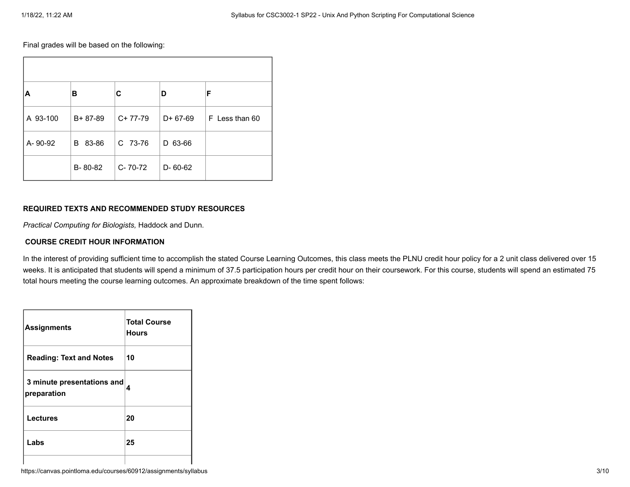Final grades will be based on the following:

| ΙA       | в             | С             | D          | F              |
|----------|---------------|---------------|------------|----------------|
| A 93-100 | $B + 87 - 89$ | $C+77-79$     | $D+67-69$  | F Less than 60 |
| A-90-92  | 83-86<br>B    | C 73-76       | 63-66<br>D |                |
|          | B-80-82       | $C - 70 - 72$ | D-60-62    |                |

#### **REQUIRED TEXTS AND RECOMMENDED STUDY RESOURCES**

*Practical Computing for Biologists,* Haddock and Dunn.

#### **COURSE CREDIT HOUR INFORMATION**

In the interest of providing sufficient time to accomplish the stated Course Learning Outcomes, this class meets the PLNU credit hour policy for a 2 unit class delivered over 15 weeks. It is anticipated that students will spend a minimum of 37.5 participation hours per credit hour on their coursework. For this course, students will spend an estimated 75 total hours meeting the course learning outcomes. An approximate breakdown of the time spent follows:

| <b>Assignments</b>                        | <b>Total Course</b><br><b>Hours</b> |
|-------------------------------------------|-------------------------------------|
| <b>Reading: Text and Notes</b>            | 10                                  |
| 3 minute presentations and<br>preparation | 4                                   |
| <b>Lectures</b>                           | 20                                  |
| Labs                                      | 25                                  |
|                                           |                                     |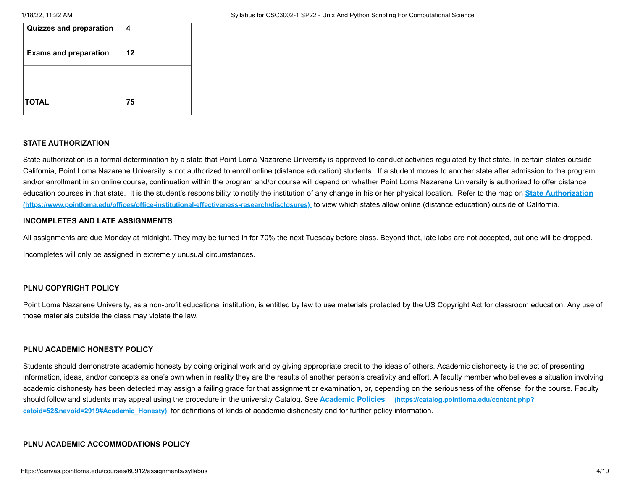| Quizzes and preparation      | 4  |
|------------------------------|----|
| <b>Exams and preparation</b> | 12 |
|                              |    |
| TOTAL                        | 75 |

#### **STATE AUTHORIZATION**

State authorization is a formal determination by a state that Point Loma Nazarene University is approved to conduct activities regulated by that state. In certain states outside California, Point Loma Nazarene University is not authorized to enroll online (distance education) students. If a student moves to another state after admission to the program and/or enrollment in an online course, continuation within the program and/or course will depend on whether Point Loma Nazarene University is authorized to offer distance [education courses in that state. It is the student's responsibility to notify the institution of any change in his or her physical location.](https://www.pointloma.edu/offices/office-institutional-effectiveness-research/disclosures) Refer to the map on **State Authorization (https://www.pointloma.edu/offices/office-institutional-effectiveness-research/disclosures)** to view which states allow online (distance education) outside of California.

#### **INCOMPLETES AND LATE ASSIGNMENTS**

All assignments are due Monday at midnight. They may be turned in for 70% the next Tuesday before class. Beyond that, late labs are not accepted, but one will be dropped. Incompletes will only be assigned in extremely unusual circumstances.

#### **PLNU COPYRIGHT POLICY**

Point Loma Nazarene University, as a non-profit educational institution, is entitled by law to use materials protected by the US Copyright Act for classroom education. Any use of those materials outside the class may violate the law.

#### **PLNU ACADEMIC HONESTY POLICY**

Students should demonstrate academic honesty by doing original work and by giving appropriate credit to the ideas of others. Academic dishonesty is the act of presenting information, ideas, and/or concepts as one's own when in reality they are the results of another person's creativity and effort. A faculty member who believes a situation involving academic dishonesty has been detected may assign a failing grade for that assignment or examination, or, depending on the seriousness of the offense, for the course. Faculty [should follow and students may appeal using the procedure in the university Catalog. See](https://catalog.pointloma.edu/content.php?catoid=52&navoid=2919#Academic_Honesty) **Academic Policies (https://catalog.pointloma.edu/content.php? catoid=52&navoid=2919#Academic\_Honesty)** for definitions of kinds of academic dishonesty and for further policy information.

#### **PLNU ACADEMIC ACCOMMODATIONS POLICY**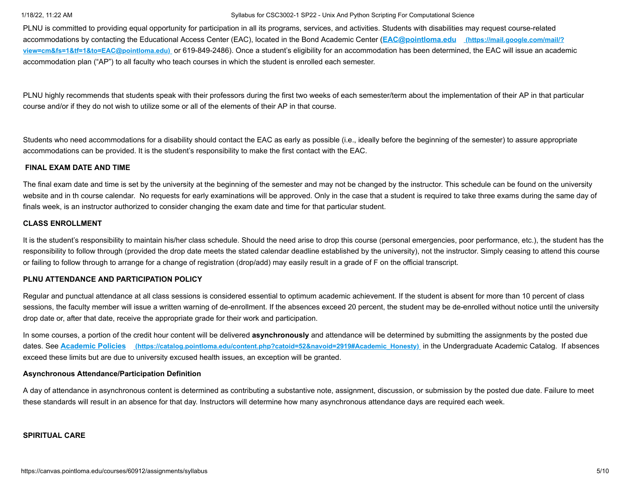PLNU is committed to providing equal opportunity for participation in all its programs, services, and activities. Students with disabilities may request course-related accommodations by contacting the Educational Access Center (EAC), located in the Bond Academic Center (**EAC@pointloma.edu (https://mail.google.com/mail/? view=cm&fs=1&tf=1&to=EAC@pointloma.edu)** [or 619-849-2486\). Once a student's eligibility for an accommodation has been determined, the EAC will issue an acade](https://mail.google.com/mail/?view=cm&fs=1&tf=1&to=EAC@pointloma.edu)mic accommodation plan ("AP") to all faculty who teach courses in which the student is enrolled each semester.

PLNU highly recommends that students speak with their professors during the first two weeks of each semester/term about the implementation of their AP in that particular course and/or if they do not wish to utilize some or all of the elements of their AP in that course.

Students who need accommodations for a disability should contact the EAC as early as possible (i.e., ideally before the beginning of the semester) to assure appropriate accommodations can be provided. It is the student's responsibility to make the first contact with the EAC.

#### **FINAL EXAM DATE AND TIME**

The final exam date and time is set by the university at the beginning of the semester and may not be changed by the instructor. This schedule can be found on the university website and in th course calendar. No requests for early examinations will be approved. Only in the case that a student is required to take three exams during the same day of finals week, is an instructor authorized to consider changing the exam date and time for that particular student.

#### **CLASS ENROLLMENT**

It is the student's responsibility to maintain his/her class schedule. Should the need arise to drop this course (personal emergencies, poor performance, etc.), the student has the responsibility to follow through (provided the drop date meets the stated calendar deadline established by the university), not the instructor. Simply ceasing to attend this course or failing to follow through to arrange for a change of registration (drop/add) may easily result in a grade of F on the official transcript.

#### **PLNU ATTENDANCE AND PARTICIPATION POLICY**

Regular and punctual attendance at all class sessions is considered essential to optimum academic achievement. If the student is absent for more than 10 percent of class sessions, the faculty member will issue a written warning of de-enrollment. If the absences exceed 20 percent, the student may be de-enrolled without notice until the university drop date or, after that date, receive the appropriate grade for their work and participation.

In some courses, a portion of the credit hour content will be delivered **asynchronously** and attendance will be determined by submitting the assignments by the posted due dates. See **Academic Policies [\(https://catalog.pointloma.edu/content.php?catoid=52&navoid=2919#Academic\\_Honesty\)](https://catalog.pointloma.edu/content.php?catoid=52&navoid=2919#Academic_Honesty)** in the Undergraduate Academic Catalog. If absences exceed these limits but are due to university excused health issues, an exception will be granted.

#### **Asynchronous Attendance/Participation Definition**

A day of attendance in asynchronous content is determined as contributing a substantive note, assignment, discussion, or submission by the posted due date. Failure to meet these standards will result in an absence for that day. Instructors will determine how many asynchronous attendance days are required each week.

#### **SPIRITUAL CARE**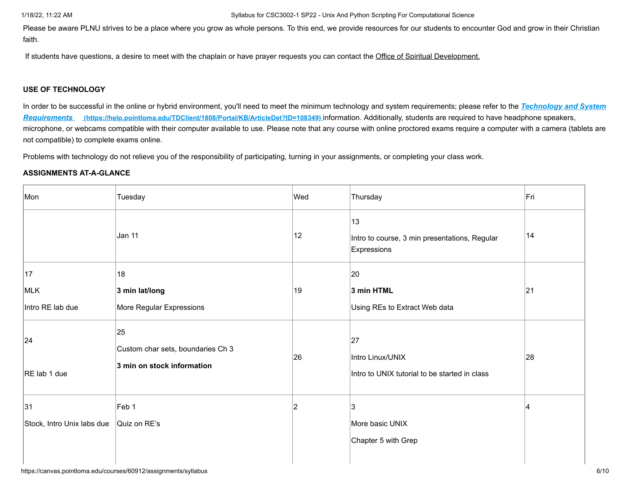Please be aware PLNU strives to be a place where you grow as whole persons. To this end, we provide resources for our students to encounter God and grow in their Christian faith.

If students have questions, a desire to meet with the chaplain or have prayer requests you can contact the Office of Spiritual Development.

### **USE OF TECHNOLOGY**

[In order to be successful in the online or hybrid environment, you'll need to meet the minimum technology and system requirements; please refer to the](https://help.pointloma.edu/TDClient/1808/Portal/KB/ArticleDet?ID=108349) *Technology and System Requirements* **(https://help.pointloma.edu/TDClient/1808/Portal/KB/ArticleDet?ID=108349)** information. Additionally, students are required to have headphone speakers, microphone, or webcams compatible with their computer available to use. Please note that any course with online proctored exams require a computer with a camera (tablets are not compatible) to complete exams online.

Problems with technology do not relieve you of the responsibility of participating, turning in your assignments, or completing your class work.

### **ASSIGNMENTS AT-A-GLANCE**

| Mon                              | Tuesday                                                               | Wed | Thursday                                                                | Fri |
|----------------------------------|-----------------------------------------------------------------------|-----|-------------------------------------------------------------------------|-----|
|                                  | Jan 11                                                                | 12  | 13<br>Intro to course, 3 min presentations, Regular<br>Expressions      | 14  |
| 17                               | 18                                                                    |     | 20                                                                      |     |
| MLK                              | 3 min lat/long                                                        | 19  | 3 min HTML                                                              | 21  |
| Intro RE lab due                 | More Regular Expressions                                              |     | Using REs to Extract Web data                                           |     |
| 24<br>RE lab 1 due               | 25<br>Custom char sets, boundaries Ch 3<br>3 min on stock information | 26  | 27<br>Intro Linux/UNIX<br>Intro to UNIX tutorial to be started in class | 28  |
| 31<br>Stock, Intro Unix labs due | Feb 1<br>Quiz on RE's                                                 | 2   | 3<br>More basic UNIX                                                    | ⊿   |
|                                  |                                                                       |     | Chapter 5 with Grep                                                     |     |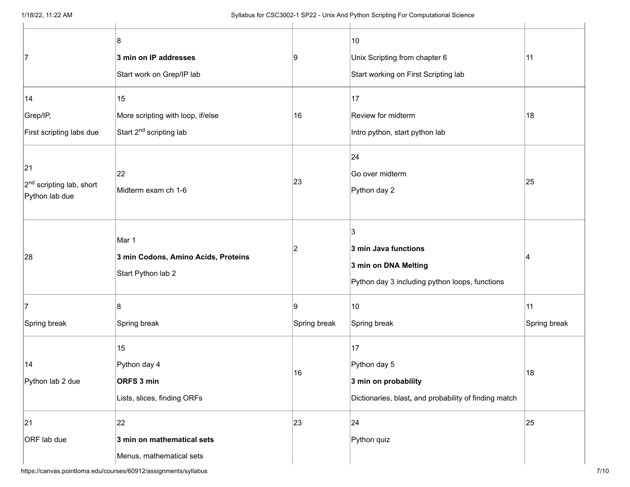| 17                                                           | 8<br>3 min on IP addresses<br>Start work on Grep/IP lab                        | 19           | 10<br>Unix Scripting from chapter 6<br>Start working on First Scripting lab                         | 11           |
|--------------------------------------------------------------|--------------------------------------------------------------------------------|--------------|-----------------------------------------------------------------------------------------------------|--------------|
| 14<br>Grep/IP,<br>First scripting labs due                   | 15<br>More scripting with loop, if/else<br>Start 2 <sup>nd</sup> scripting lab | 16           | 17<br>Review for midterm<br>Intro python, start python lab                                          | 18           |
| 21<br>2 <sup>nd</sup> scripting lab, short<br>Python lab due | 22<br>Midterm exam ch 1-6                                                      | 23           | 24<br>Go over midterm<br>Python day 2                                                               | 25           |
| 28                                                           | Mar 1<br>3 min Codons, Amino Acids, Proteins<br>Start Python lab 2             | 2            | 3<br>3 min Java functions<br>3 min on DNA Melting<br>Python day 3 including python loops, functions | 14           |
| 17                                                           | 8                                                                              | Ι9           | 10                                                                                                  | 11           |
| Spring break                                                 | Spring break                                                                   | Spring break | Spring break                                                                                        | Spring break |
| 14<br>Python lab 2 due                                       | 15<br>Python day 4<br>ORFS 3 min<br>Lists, slices, finding ORFs                | 16           | 17<br>Python day 5<br>3 min on probability<br>Dictionaries, blast, and probability of finding match | 18           |
| 21<br>ORF lab due                                            | 22<br>3 min on mathematical sets<br>Menus, mathematical sets                   | 23           | 24<br>Python quiz                                                                                   | 25           |

https://canvas.pointloma.edu/courses/60912/assignments/syllabus 7/10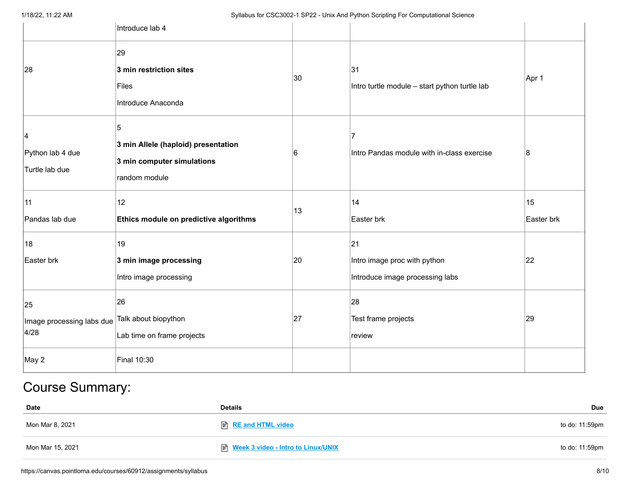|                                         | Introduce lab 4                                                                         |    |                                                                       |                  |
|-----------------------------------------|-----------------------------------------------------------------------------------------|----|-----------------------------------------------------------------------|------------------|
| 28                                      | 29<br>3 min restriction sites<br>Files<br>Introduce Anaconda                            | 30 | 31<br>Intro turtle module - start python turtle lab                   | Apr 1            |
| 4<br>Python lab 4 due<br>Turtle lab due | 5<br>3 min Allele (haploid) presentation<br>3 min computer simulations<br>random module | 6  | 7<br>Intro Pandas module with in-class exercise                       | 8                |
| 11<br>Pandas lab due                    | 12<br>Ethics module on predictive algorithms                                            | 13 | 14<br>Easter brk                                                      | 15<br>Easter brk |
| 18<br>Easter brk                        | 19<br>3 min image processing<br>Intro image processing                                  | 20 | 21<br>Intro image proc with python<br>Introduce image processing labs | 22               |
| 25<br>Image processing labs due<br>4/28 | 26<br>Talk about biopython<br>Lab time on frame projects                                | 27 | 28<br>Test frame projects<br>review                                   | 29               |
| May 2                                   | <b>Final 10:30</b>                                                                      |    |                                                                       |                  |

# Course Summary:

| Date             | <b>Details</b>                                  | Due            |
|------------------|-------------------------------------------------|----------------|
| Mon Mar 8, 2021  |                                                 | to do: 11:59pm |
| Mon Mar 15, 2021 | <sup>■</sup> Week 3 video - Intro to Linux/UNIX | to do: 11:59pm |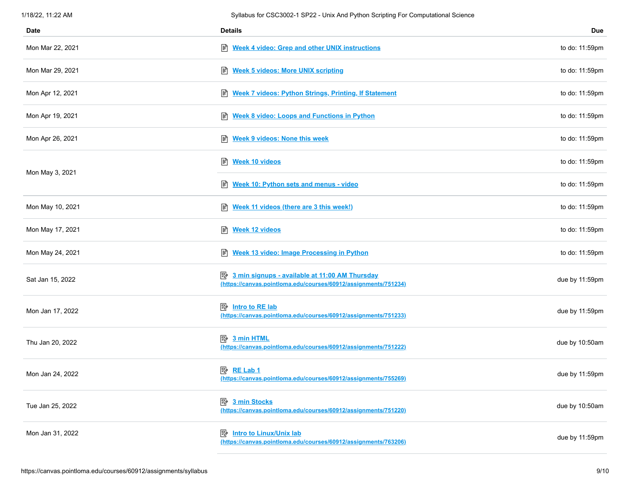| 1/18/22, 11:22 AM | Syllabus for CSC3002-1 SP22 - Unix And Python Scripting For Computational Science                                          |                |
|-------------------|----------------------------------------------------------------------------------------------------------------------------|----------------|
| Date              | <b>Details</b>                                                                                                             | Due            |
| Mon Mar 22, 2021  | B Week 4 video: Grep and other UNIX instructions                                                                           | to do: 11:59pm |
| Mon Mar 29, 2021  | <b>Week 5 videos: More UNIX scripting</b><br>目                                                                             | to do: 11:59pm |
| Mon Apr 12, 2021  | Week 7 videos: Python Strings, Printing, If Statement                                                                      | to do: 11:59pm |
| Mon Apr 19, 2021  | <b>Week 8 video: Loops and Functions in Python</b><br>圕                                                                    | to do: 11:59pm |
| Mon Apr 26, 2021  | 目<br><b>Week 9 videos: None this week</b>                                                                                  | to do: 11:59pm |
|                   | 闫<br><b>Week 10 videos</b>                                                                                                 | to do: 11:59pm |
| Mon May 3, 2021   | Week 10: Python sets and menus - video                                                                                     | to do: 11:59pm |
| Mon May 10, 2021  | Week 11 videos (there are 3 this week!)                                                                                    | to do: 11:59pm |
| Mon May 17, 2021  | 圕<br><b>Week 12 videos</b>                                                                                                 | to do: 11:59pm |
| Mon May 24, 2021  | Week 13 video: Image Processing in Python                                                                                  | to do: 11:59pm |
| Sat Jan 15, 2022  | <b>E</b> 3 min signups - available at 11:00 AM Thursday<br>(https://canvas.pointloma.edu/courses/60912/assignments/751234) | due by 11:59pm |
| Mon Jan 17, 2022  | <b>B</b> Intro to RE lab<br>(https://canvas.pointloma.edu/courses/60912/assignments/751233)                                | due by 11:59pm |
| Thu Jan 20, 2022  | 國<br>3 min HTML<br>(https://canvas.pointloma.edu/courses/60912/assignments/751222)                                         | due by 10:50am |
| Mon Jan 24, 2022  | 图 RE Lab 1<br>(https://canvas.pointloma.edu/courses/60912/assignments/755269)                                              | due by 11:59pm |
| Tue Jan 25, 2022  | 暨<br>3 min Stocks<br>(https://canvas.pointloma.edu/courses/60912/assignments/751220)                                       | due by 10:50am |
| Mon Jan 31, 2022  | <b>Intro to Linux/Unix lab</b><br>郾<br>(https://canvas.pointloma.edu/courses/60912/assignments/763206)                     | due by 11:59pm |